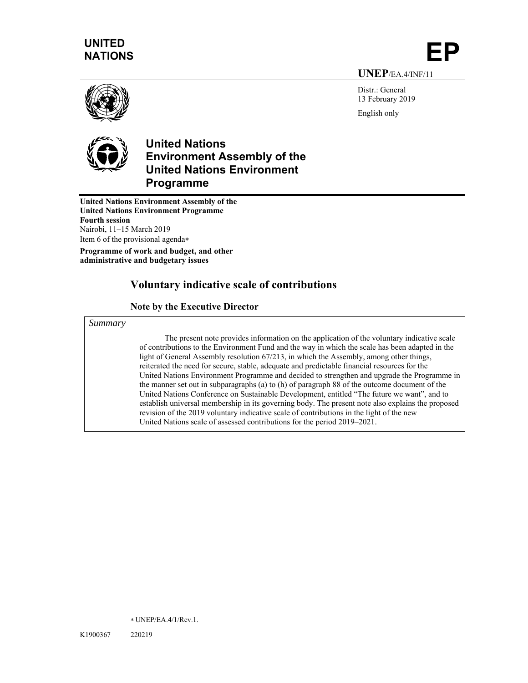# **UNITED**  NATIONS

**UNEP**/EA.4/INF/11

Distr.: General 13 February 2019 English only





## **United Nations Environment Assembly of the United Nations Environment Programme**

**United Nations Environment Assembly of the United Nations Environment Programme Fourth session**  Nairobi, 11–15 March 2019 Item 6 of the provisional agenda

**Programme of work and budget, and other administrative and budgetary issues** 

## **Voluntary indicative scale of contributions**

#### **Note by the Executive Director**

*Summary* 

The present note provides information on the application of the voluntary indicative scale of contributions to the Environment Fund and the way in which the scale has been adapted in the light of General Assembly resolution 67/213, in which the Assembly, among other things, reiterated the need for secure, stable, adequate and predictable financial resources for the United Nations Environment Programme and decided to strengthen and upgrade the Programme in the manner set out in subparagraphs (a) to (h) of paragraph 88 of the outcome document of the United Nations Conference on Sustainable Development, entitled "The future we want", and to establish universal membership in its governing body. The present note also explains the proposed revision of the 2019 voluntary indicative scale of contributions in the light of the new United Nations scale of assessed contributions for the period 2019–2021.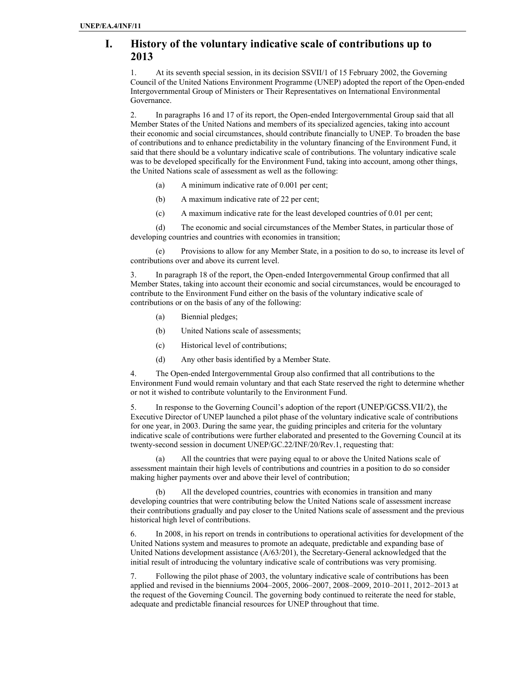## **I. History of the voluntary indicative scale of contributions up to 2013**

1. At its seventh special session, in its decision SSVII/1 of 15 February 2002, the Governing Council of the United Nations Environment Programme (UNEP) adopted the report of the Open-ended Intergovernmental Group of Ministers or Their Representatives on International Environmental Governance.

2. In paragraphs 16 and 17 of its report, the Open-ended Intergovernmental Group said that all Member States of the United Nations and members of its specialized agencies, taking into account their economic and social circumstances, should contribute financially to UNEP. To broaden the base of contributions and to enhance predictability in the voluntary financing of the Environment Fund, it said that there should be a voluntary indicative scale of contributions. The voluntary indicative scale was to be developed specifically for the Environment Fund, taking into account, among other things, the United Nations scale of assessment as well as the following:

- (a) A minimum indicative rate of 0.001 per cent;
- (b) A maximum indicative rate of 22 per cent;
- (c) A maximum indicative rate for the least developed countries of 0.01 per cent;

(d) The economic and social circumstances of the Member States, in particular those of developing countries and countries with economies in transition;

(e) Provisions to allow for any Member State, in a position to do so, to increase its level of contributions over and above its current level.

3. In paragraph 18 of the report, the Open-ended Intergovernmental Group confirmed that all Member States, taking into account their economic and social circumstances, would be encouraged to contribute to the Environment Fund either on the basis of the voluntary indicative scale of contributions or on the basis of any of the following:

- (a) Biennial pledges;
- (b) United Nations scale of assessments;
- (c) Historical level of contributions;
- (d) Any other basis identified by a Member State.

4. The Open-ended Intergovernmental Group also confirmed that all contributions to the Environment Fund would remain voluntary and that each State reserved the right to determine whether or not it wished to contribute voluntarily to the Environment Fund.

5. In response to the Governing Council's adoption of the report (UNEP/GCSS.VII/2), the Executive Director of UNEP launched a pilot phase of the voluntary indicative scale of contributions for one year, in 2003. During the same year, the guiding principles and criteria for the voluntary indicative scale of contributions were further elaborated and presented to the Governing Council at its twenty-second session in document UNEP/GC.22/INF/20/Rev.1, requesting that:

(a) All the countries that were paying equal to or above the United Nations scale of assessment maintain their high levels of contributions and countries in a position to do so consider making higher payments over and above their level of contribution;

(b) All the developed countries, countries with economies in transition and many developing countries that were contributing below the United Nations scale of assessment increase their contributions gradually and pay closer to the United Nations scale of assessment and the previous historical high level of contributions.

6. In 2008, in his report on trends in contributions to operational activities for development of the United Nations system and measures to promote an adequate, predictable and expanding base of United Nations development assistance (A/63/201), the Secretary-General acknowledged that the initial result of introducing the voluntary indicative scale of contributions was very promising.

7. Following the pilot phase of 2003, the voluntary indicative scale of contributions has been applied and revised in the bienniums 2004–2005, 2006–2007, 2008–2009, 2010–2011, 2012–2013 at the request of the Governing Council. The governing body continued to reiterate the need for stable, adequate and predictable financial resources for UNEP throughout that time.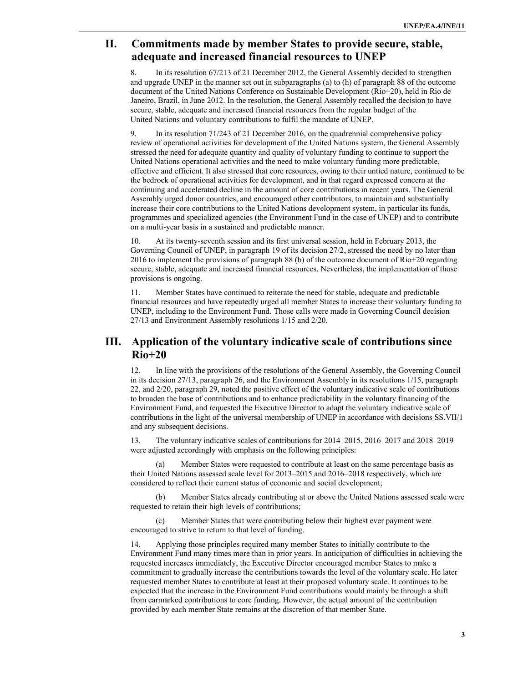## **II. Commitments made by member States to provide secure, stable, adequate and increased financial resources to UNEP**

8. In its resolution 67/213 of 21 December 2012, the General Assembly decided to strengthen and upgrade UNEP in the manner set out in subparagraphs (a) to (h) of paragraph 88 of the outcome document of the United Nations Conference on Sustainable Development (Rio+20), held in Rio de Janeiro, Brazil, in June 2012. In the resolution, the General Assembly recalled the decision to have secure, stable, adequate and increased financial resources from the regular budget of the United Nations and voluntary contributions to fulfil the mandate of UNEP.

9. In its resolution 71/243 of 21 December 2016, on the quadrennial comprehensive policy review of operational activities for development of the United Nations system, the General Assembly stressed the need for adequate quantity and quality of voluntary funding to continue to support the United Nations operational activities and the need to make voluntary funding more predictable, effective and efficient. It also stressed that core resources, owing to their untied nature, continued to be the bedrock of operational activities for development, and in that regard expressed concern at the continuing and accelerated decline in the amount of core contributions in recent years. The General Assembly urged donor countries, and encouraged other contributors, to maintain and substantially increase their core contributions to the United Nations development system, in particular its funds, programmes and specialized agencies (the Environment Fund in the case of UNEP) and to contribute on a multi-year basis in a sustained and predictable manner.

10. At its twenty-seventh session and its first universal session, held in February 2013, the Governing Council of UNEP, in paragraph 19 of its decision 27/2, stressed the need by no later than 2016 to implement the provisions of paragraph 88 (b) of the outcome document of Rio+20 regarding secure, stable, adequate and increased financial resources. Nevertheless, the implementation of those provisions is ongoing.

11. Member States have continued to reiterate the need for stable, adequate and predictable financial resources and have repeatedly urged all member States to increase their voluntary funding to UNEP, including to the Environment Fund. Those calls were made in Governing Council decision 27/13 and Environment Assembly resolutions 1/15 and 2/20.

## **III. Application of the voluntary indicative scale of contributions since Rio+20**

12. In line with the provisions of the resolutions of the General Assembly, the Governing Council in its decision 27/13, paragraph 26, and the Environment Assembly in its resolutions 1/15, paragraph 22, and 2/20, paragraph 29, noted the positive effect of the voluntary indicative scale of contributions to broaden the base of contributions and to enhance predictability in the voluntary financing of the Environment Fund, and requested the Executive Director to adapt the voluntary indicative scale of contributions in the light of the universal membership of UNEP in accordance with decisions SS.VII/1 and any subsequent decisions.

13. The voluntary indicative scales of contributions for 2014–2015, 2016–2017 and 2018–2019 were adjusted accordingly with emphasis on the following principles:

(a) Member States were requested to contribute at least on the same percentage basis as their United Nations assessed scale level for 2013–2015 and 2016–2018 respectively, which are considered to reflect their current status of economic and social development;

(b) Member States already contributing at or above the United Nations assessed scale were requested to retain their high levels of contributions;

(c) Member States that were contributing below their highest ever payment were encouraged to strive to return to that level of funding.

14. Applying those principles required many member States to initially contribute to the Environment Fund many times more than in prior years. In anticipation of difficulties in achieving the requested increases immediately, the Executive Director encouraged member States to make a commitment to gradually increase the contributions towards the level of the voluntary scale. He later requested member States to contribute at least at their proposed voluntary scale. It continues to be expected that the increase in the Environment Fund contributions would mainly be through a shift from earmarked contributions to core funding. However, the actual amount of the contribution provided by each member State remains at the discretion of that member State.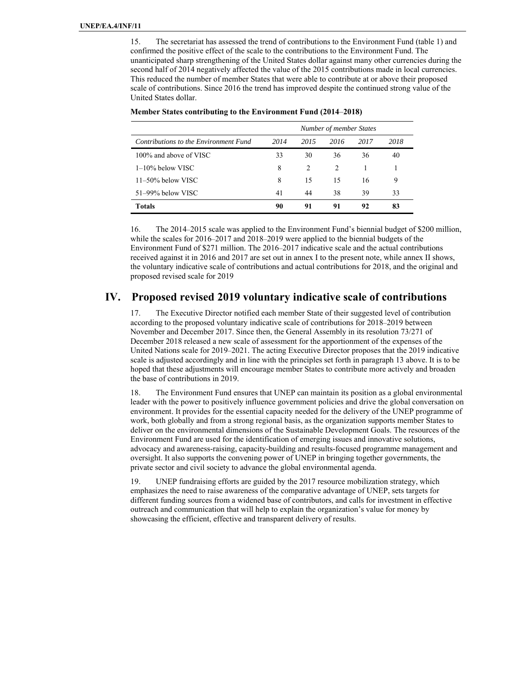15. The secretariat has assessed the trend of contributions to the Environment Fund (table 1) and confirmed the positive effect of the scale to the contributions to the Environment Fund. The unanticipated sharp strengthening of the United States dollar against many other currencies during the second half of 2014 negatively affected the value of the 2015 contributions made in local currencies. This reduced the number of member States that were able to contribute at or above their proposed scale of contributions. Since 2016 the trend has improved despite the continued strong value of the United States dollar.

|                                       | Number of member States |               |                |      |      |  |  |
|---------------------------------------|-------------------------|---------------|----------------|------|------|--|--|
| Contributions to the Environment Fund | 2014                    | 2015          | 2016           | 2017 | 2018 |  |  |
| 100% and above of VISC                | 33                      | 30            | 36             | 36   | 40   |  |  |
| $1-10\%$ below VISC                   | 8                       | $\mathcal{L}$ | $\mathfrak{D}$ |      |      |  |  |
| $11-50\%$ below VISC                  | 8                       | 15            | 15             | 16   | 9    |  |  |
| 51–99% below VISC                     | 41                      | 44            | 38             | 39   | 33   |  |  |
| <b>Totals</b>                         | 90                      | 91            | 91             | 92   | 83   |  |  |

#### **Member States contributing to the Environment Fund (2014**–**2018)**

16. The 2014–2015 scale was applied to the Environment Fund's biennial budget of \$200 million, while the scales for 2016–2017 and 2018–2019 were applied to the biennial budgets of the Environment Fund of \$271 million. The 2016–2017 indicative scale and the actual contributions received against it in 2016 and 2017 are set out in annex I to the present note, while annex II shows, the voluntary indicative scale of contributions and actual contributions for 2018, and the original and proposed revised scale for 2019

#### **IV. Proposed revised 2019 voluntary indicative scale of contributions**

17. The Executive Director notified each member State of their suggested level of contribution according to the proposed voluntary indicative scale of contributions for 2018–2019 between November and December 2017. Since then, the General Assembly in its resolution 73/271 of December 2018 released a new scale of assessment for the apportionment of the expenses of the United Nations scale for 2019–2021. The acting Executive Director proposes that the 2019 indicative scale is adjusted accordingly and in line with the principles set forth in paragraph 13 above. It is to be hoped that these adjustments will encourage member States to contribute more actively and broaden the base of contributions in 2019.

18. The Environment Fund ensures that UNEP can maintain its position as a global environmental leader with the power to positively influence government policies and drive the global conversation on environment. It provides for the essential capacity needed for the delivery of the UNEP programme of work, both globally and from a strong regional basis, as the organization supports member States to deliver on the environmental dimensions of the Sustainable Development Goals. The resources of the Environment Fund are used for the identification of emerging issues and innovative solutions, advocacy and awareness-raising, capacity-building and results-focused programme management and oversight. It also supports the convening power of UNEP in bringing together governments, the private sector and civil society to advance the global environmental agenda.

19. UNEP fundraising efforts are guided by the 2017 resource mobilization strategy, which emphasizes the need to raise awareness of the comparative advantage of UNEP, sets targets for different funding sources from a widened base of contributors, and calls for investment in effective outreach and communication that will help to explain the organization's value for money by showcasing the efficient, effective and transparent delivery of results.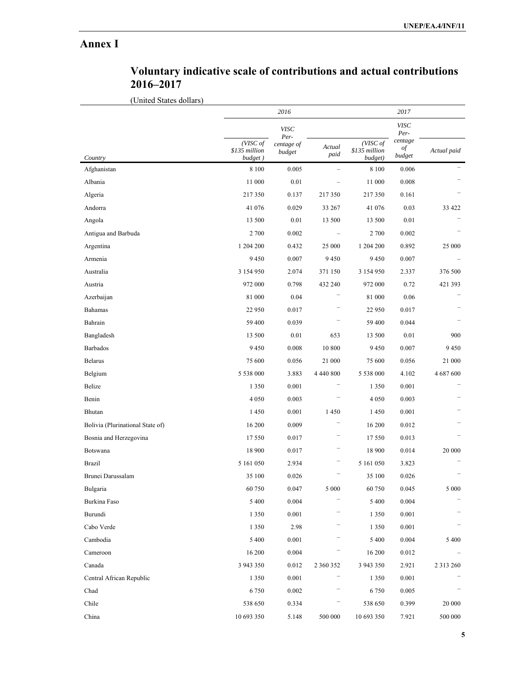# **Annex I**

| Voluntary indicative scale of contributions and actual contributions |  |  |
|----------------------------------------------------------------------|--|--|
| 2016-2017                                                            |  |  |

(United States dollars)

|                                  |                                      | 2016                                        |                |                                      | 2017                                           |               |
|----------------------------------|--------------------------------------|---------------------------------------------|----------------|--------------------------------------|------------------------------------------------|---------------|
| Country                          | (VISC of<br>\$135 million<br>budget) | <b>VISC</b><br>Per-<br>centage of<br>budget | Actual<br>paid | (VISC of<br>\$135 million<br>budget) | <b>VISC</b><br>Per-<br>centage<br>of<br>budget | Actual paid   |
| Afghanistan                      | 8 1 0 0                              | 0.005                                       |                | 8 1 0 0                              | 0.006                                          |               |
| Albania                          | 11 000                               | 0.01                                        |                | 11 000                               | 0.008                                          |               |
| Algeria                          | 217350                               | 0.137                                       | 217350         | 217 350                              | 0.161                                          |               |
| Andorra                          | 41 076                               | 0.029                                       | 33 267         | 41 076                               | 0.03                                           | 33 422        |
| Angola                           | 13 500                               | 0.01                                        | 13 500         | 13 500                               | 0.01                                           |               |
| Antigua and Barbuda              | 2 700                                | 0.002                                       |                | 2 700                                | 0.002                                          |               |
| Argentina                        | 1 204 200                            | 0.432                                       | 25 000         | 1 204 200                            | 0.892                                          | 25 000        |
| Armenia                          | 9 4 5 0                              | 0.007                                       | 9450           | 9450                                 | 0.007                                          |               |
| Australia                        | 3 154 950                            | 2.074                                       | 371 150        | 3 154 950                            | 2.337                                          | 376 500       |
| Austria                          | 972 000                              | 0.798                                       | 432 240        | 972 000                              | 0.72                                           | 421 393       |
| Azerbaijan                       | 81 000                               | 0.04                                        |                | 81 000                               | 0.06                                           |               |
| Bahamas                          | 22 950                               | 0.017                                       |                | 22 950                               | 0.017                                          |               |
| Bahrain                          | 59 400                               | 0.039                                       |                | 59 400                               | 0.044                                          |               |
| Bangladesh                       | 13 500                               | 0.01                                        | 653            | 13 500                               | 0.01                                           | 900           |
| Barbados                         | 9450                                 | 0.008                                       | 10 800         | 9450                                 | 0.007                                          | 9450          |
| Belarus                          | 75 600                               | 0.056                                       | 21 000         | 75 600                               | 0.056                                          | 21 000        |
| Belgium                          | 5 538 000                            | 3.883                                       | 4 440 800      | 5 538 000                            | 4.102                                          | 4 687 600     |
| Belize                           | 1 3 5 0                              | 0.001                                       |                | 1 3 5 0                              | 0.001                                          |               |
| Benin                            | 4 0 5 0                              | 0.003                                       |                | 4 0 5 0                              | 0.003                                          |               |
| Bhutan                           | 1450                                 | 0.001                                       | 1450           | 1450                                 | 0.001                                          |               |
| Bolivia (Plurinational State of) | 16 200                               | 0.009                                       |                | 16 200                               | 0.012                                          |               |
| Bosnia and Herzegovina           | 17 550                               | 0.017                                       |                | 17550                                | 0.013                                          |               |
| Botswana                         | 18 900                               | 0.017                                       |                | 18 900                               | 0.014                                          | 20 000        |
| <b>Brazil</b>                    | 5 161 050                            | 2.934                                       |                | 5 161 050                            | 3.823                                          |               |
| Brunei Darussalam                | 35 100                               | 0.026                                       |                | 35 100                               | 0.026                                          |               |
| Bulgaria                         | 60 750                               | 0.047                                       | 5 000          | 60 750                               | 0.045                                          | 5 0 0 0       |
| Burkina Faso                     | 5 400                                | 0.004                                       |                | 5 4 0 0                              | 0.004                                          |               |
| Burundi                          | 1 3 5 0                              | 0.001                                       |                | 1 3 5 0                              | 0.001                                          |               |
| Cabo Verde                       | 1 3 5 0                              | 2.98                                        |                | 1 3 5 0                              | 0.001                                          |               |
| Cambodia                         | 5 400                                | 0.001                                       |                | 5 4 0 0                              | 0.004                                          | 5 4 0 0       |
| Cameroon                         | 16 200                               | 0.004                                       |                | 16 200                               | 0.012                                          |               |
| Canada                           | 3 943 350                            | 0.012                                       | 2 360 352      | 3 943 350                            | 2.921                                          | 2 3 1 3 2 6 0 |
| Central African Republic         | 1 3 5 0                              | 0.001                                       |                | 1 3 5 0                              | 0.001                                          |               |
| Chad                             | 6 7 5 0                              | $0.002\,$                                   |                | 6750                                 | 0.005                                          |               |
| Chile                            | 538 650                              | 0.334                                       |                | 538 650                              | 0.399                                          | 20 000        |
| China                            | 10 693 350                           | 5.148                                       | 500 000        | 10 693 350                           | 7.921                                          | 500 000       |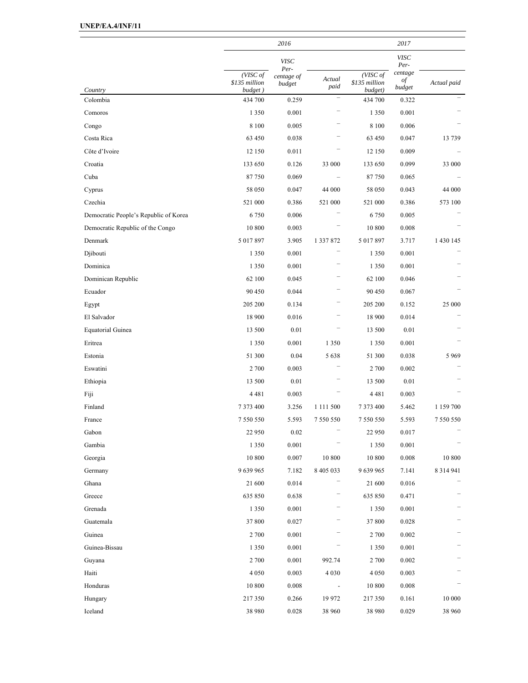|                                       |                                      | 2016                         |                          |                                      | 2017                    |               |
|---------------------------------------|--------------------------------------|------------------------------|--------------------------|--------------------------------------|-------------------------|---------------|
|                                       |                                      | <b>VISC</b>                  |                          |                                      | <b>VISC</b><br>Per-     |               |
| Country                               | (VISC of<br>\$135 million<br>budget) | Per-<br>centage of<br>budget | Actual<br>paid           | (VISC of<br>\$135 million<br>budget) | centage<br>of<br>budget | Actual paid   |
| Colombia                              | 434 700                              | 0.259                        | $\overline{\phantom{0}}$ | 434 700                              | 0.322                   |               |
| Comoros                               | 1 3 5 0                              | 0.001                        |                          | 1 3 5 0                              | 0.001                   |               |
| Congo                                 | 8 1 0 0                              | 0.005                        |                          | 8 1 0 0                              | 0.006                   |               |
| Costa Rica                            | 63 450                               | 0.038                        |                          | 63 450                               | 0.047                   | 13739         |
| Côte d'Ivoire                         | 12 150                               | 0.011                        |                          | 12 150                               | 0.009                   |               |
| Croatia                               | 133 650                              | 0.126                        | 33 000                   | 133 650                              | 0.099                   | 33 000        |
| Cuba                                  | 87750                                | 0.069                        |                          | 87750                                | 0.065                   |               |
| Cyprus                                | 58 050                               | 0.047                        | 44 000                   | 58 050                               | 0.043                   | 44 000        |
| Czechia                               | 521 000                              | 0.386                        | 521 000                  | 521 000                              | 0.386                   | 573 100       |
| Democratic People's Republic of Korea | 6750                                 | 0.006                        |                          | 6750                                 | 0.005                   |               |
| Democratic Republic of the Congo      | 10 800                               | 0.003                        |                          | 10 800                               | 0.008                   |               |
| Denmark                               | 5 017 897                            | 3.905                        | 1 337 872                | 5 017 897                            | 3.717                   | 1 430 145     |
| Djibouti                              | 1 3 5 0                              | 0.001                        |                          | 1 3 5 0                              | 0.001                   |               |
| Dominica                              | 1 3 5 0                              | 0.001                        |                          | 1 3 5 0                              | 0.001                   |               |
| Dominican Republic                    | 62 100                               | 0.045                        |                          | 62 100                               | 0.046                   |               |
| Ecuador                               | 90 450                               | 0.044                        |                          | 90 450                               | 0.067                   |               |
| Egypt                                 | 205 200                              | 0.134                        |                          | 205 200                              | 0.152                   | 25 000        |
| El Salvador                           | 18 900                               | 0.016                        |                          | 18 900                               | 0.014                   |               |
| Equatorial Guinea                     | 13 500                               | 0.01                         |                          | 13 500                               | 0.01                    |               |
| Eritrea                               | 1 3 5 0                              | 0.001                        | 1 3 5 0                  | 1 3 5 0                              | 0.001                   |               |
| Estonia                               | 51 300                               | 0.04                         | 5638                     | 51 300                               | 0.038                   | 5969          |
| Eswatini                              | 2 700                                | 0.003                        |                          | 2 700                                | 0.002                   |               |
| Ethiopia                              | 13 500                               | 0.01                         |                          | 13 500                               | 0.01                    |               |
| Fiji                                  | 4481                                 | 0.003                        |                          | 4481                                 | 0.003                   |               |
| Finland                               | 7 373 400                            | 3.256                        | 1 111 500                | 7 373 400                            | 5.462                   | 1 159 700     |
| France                                | 7 550 550                            | 5.593                        | 7 550 550                | 7 550 550                            | 5.593                   | 7 550 550     |
| Gabon                                 | 22 950                               | 0.02                         |                          | 22 950                               | 0.017                   |               |
| Gambia                                | 1 3 5 0                              | 0.001                        |                          | 1 3 5 0                              | 0.001                   |               |
| Georgia                               | 10 800                               | $0.007\,$                    | 10 800                   | $10\ 800$                            | 0.008                   | 10 800        |
| Germany                               | 9 639 965                            | 7.182                        | 8 405 033                | 9 639 965                            | 7.141                   | 8 3 1 4 9 4 1 |
| Ghana                                 | 21 600                               | 0.014                        |                          | 21 600                               | 0.016                   |               |
| Greece                                | 635 850                              | 0.638                        |                          | 635 850                              | 0.471                   |               |
| Grenada                               | 1 3 5 0                              | 0.001                        |                          | 1 3 5 0                              | 0.001                   |               |
| Guatemala                             | 37 800                               | 0.027                        |                          | 37 800                               | 0.028                   |               |
| Guinea                                | 2 700                                | 0.001                        |                          | 2 700                                | 0.002                   |               |
| Guinea-Bissau                         | 1 3 5 0                              | $0.001\,$                    |                          | 1 3 5 0                              | 0.001                   |               |
| Guyana                                | 2 700                                | 0.001                        | 992.74                   | 2 700                                | 0.002                   |               |
| Haiti                                 | 4 0 5 0                              | 0.003                        | 4 0 3 0                  | 4 0 5 0                              | 0.003                   |               |
| Honduras                              | 10 800                               | 0.008                        | $\overline{\phantom{a}}$ | 10 800                               | 0.008                   |               |
| Hungary                               | 217 350                              | 0.266                        | 19 972                   | 217 350                              | 0.161                   | 10 000        |
| Iceland                               | 38 980                               | 0.028                        | 38 960                   | 38 980                               | 0.029                   | 38 960        |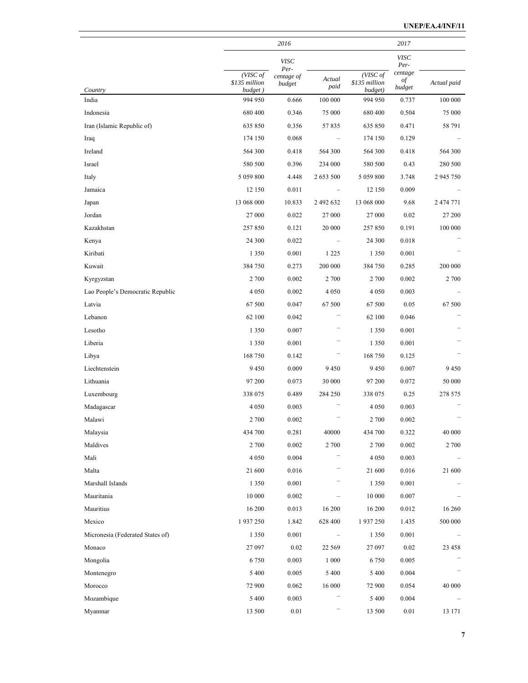|                                  |                                      | 2016                 |                   |                                      | 2017                    |             |
|----------------------------------|--------------------------------------|----------------------|-------------------|--------------------------------------|-------------------------|-------------|
|                                  |                                      | <b>VISC</b><br>Per-  |                   |                                      | <b>VISC</b><br>Per-     |             |
| Country                          | (VISC of<br>\$135 million<br>budget) | centage of<br>budget | Actual<br>paid    | (VISC of<br>\$135 million<br>budget) | centage<br>of<br>budget | Actual paid |
| India                            | 994 950                              | 0.666                | 100 000           | 994 950                              | 0.737                   | 100 000     |
| Indonesia                        | 680 400                              | 0.346                | 75 000            | 680 400                              | 0.504                   | 75 000      |
| Iran (Islamic Republic of)       | 635 850                              | 0.356                | 57835             | 635 850                              | 0.471                   | 58 791      |
| Iraq                             | 174 150                              | 0.068                |                   | 174 150                              | 0.129                   |             |
| Ireland                          | 564 300                              | 0.418                | 564 300           | 564 300                              | 0.418                   | 564 300     |
| Israel                           | 580 500                              | 0.396                | 234 000           | 580 500                              | 0.43                    | 280 500     |
| Italy                            | 5 059 800                            | 4.448                | 2 653 500         | 5 059 800                            | 3.748                   | 2 945 750   |
| Jamaica                          | 12 150                               | 0.011                |                   | 12 150                               | 0.009                   |             |
| Japan                            | 13 068 000                           | 10.833               | 2 492 632         | 13 068 000                           | 9.68                    | 2 474 771   |
| Jordan                           | 27 000                               | 0.022                | 27 000            | 27 000                               | 0.02                    | 27 200      |
| Kazakhstan                       | 257850                               | 0.121                | 20 000            | 257850                               | 0.191                   | 100 000     |
| Kenya                            | 24 300                               | 0.022                |                   | 24 300                               | 0.018                   |             |
| Kiribati                         | 1 3 5 0                              | 0.001                | 1 2 2 5           | 1 3 5 0                              | 0.001                   |             |
| Kuwait                           | 384 750                              | 0.273                | 200 000           | 384 750                              | 0.285                   | 200 000     |
| Kyrgyzstan                       | 2 700                                | 0.002                | 2 700             | 2 700                                | 0.002                   | 2 700       |
| Lao People's Democratic Republic | 4 0 5 0                              | 0.002                | 4 0 5 0           | 4 0 5 0                              | 0.003                   |             |
| Latvia                           | 67 500                               | 0.047                | 67 500            | 67 500                               | 0.05                    | 67 500      |
| Lebanon                          | 62 100                               | 0.042                |                   | 62 100                               | 0.046                   |             |
| Lesotho                          | 1 3 5 0                              | 0.007                |                   | 1 3 5 0                              | 0.001                   |             |
| Liberia                          | 1 3 5 0                              | 0.001                |                   | 1 3 5 0                              | 0.001                   |             |
| Libya                            | 168 750                              | 0.142                |                   | 168 750                              | 0.125                   |             |
| Liechtenstein                    | 9450                                 | 0.009                | 9450              | 9450                                 | 0.007                   | 9450        |
| Lithuania                        | 97 200                               | 0.073                | 30 000            | 97 200                               | 0.072                   | 50 000      |
| Luxembourg                       | 338 075                              | 0.489                | 284 250           | 338 075                              | 0.25                    | 278 575     |
| Madagascar                       | 4 0 5 0                              | 0.003                |                   | 4 0 5 0                              | 0.003                   |             |
| Malawi                           | 2 700                                | 0.002                |                   | 2 700                                | 0.002                   |             |
| Malaysia                         | 434 700                              | 0.281                | 40000             | 434 700                              | 0.322                   | 40 000      |
| Maldives                         | 2 700                                | 0.002                | 2 700             | 2 700                                | 0.002                   | 2 700       |
| Mali                             | 4 0 5 0                              | 0.004                |                   | 4 0 5 0                              | 0.003                   |             |
| Malta                            | 21 600                               | 0.016                |                   | 21 600                               | 0.016                   | 21 600      |
| Marshall Islands                 | 1 3 5 0                              | 0.001                |                   | 1 3 5 0                              | 0.001                   |             |
| Mauritania                       | 10 000                               | 0.002                | $\qquad \qquad -$ | 10 000                               | 0.007                   |             |
| Mauritius                        | 16 200                               | 0.013                | 16 200            | 16 200                               | 0.012                   | 16 260      |
| Mexico                           | 1937250                              | 1.842                | 628 400           | 1 937 250                            | 1.435                   | 500 000     |
| Micronesia (Federated States of) | 1 3 5 0                              | 0.001                |                   | 1 3 5 0                              | 0.001                   |             |
| Monaco                           | 27 097                               | 0.02                 | 22 5 6 9          | 27 097                               | 0.02                    | 23 458      |
| Mongolia                         | 6750                                 | 0.003                | 1 0 0 0           | 6750                                 | 0.005                   |             |
| Montenegro                       | 5 4 0 0                              | 0.005                | 5 4 0 0           | 5 4 0 0                              | 0.004                   |             |
| Morocco                          | 72 900                               | 0.062                | 16 000            | 72 900                               | 0.054                   | 40 000      |
| Mozambique                       | 5 4 0 0                              | 0.003                |                   | 5 4 0 0                              | 0.004                   |             |
| Myanmar                          | 13 500                               | $0.01\,$             | -                 | 13 500                               | 0.01                    | 13 171      |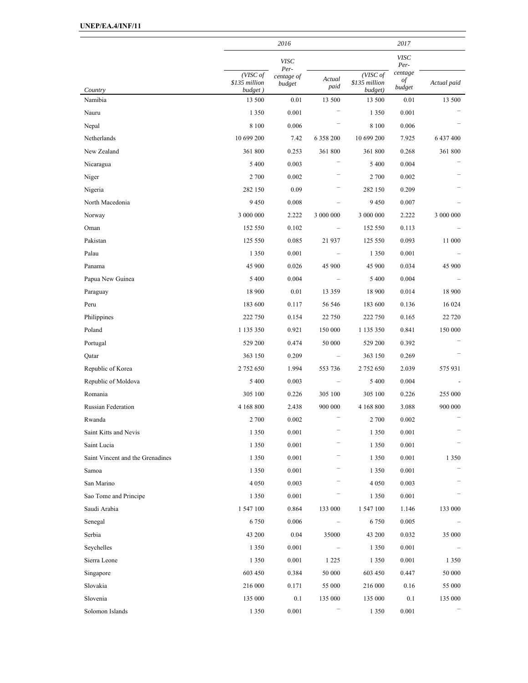|                                  |                                      | 2016                 |                          |                                      | 2017                    |             |
|----------------------------------|--------------------------------------|----------------------|--------------------------|--------------------------------------|-------------------------|-------------|
|                                  |                                      | <b>VISC</b><br>Per-  |                          |                                      | <b>VISC</b><br>Per-     |             |
| Country                          | (VISC of<br>\$135 million<br>budget) | centage of<br>budget | Actual<br>paid           | (VISC of<br>\$135 million<br>budget) | centage<br>of<br>budget | Actual paid |
| Namibia                          | 13 500                               | 0.01                 | 13 500                   | 13 500                               | 0.01                    | 13 500      |
| Nauru                            | 1 3 5 0                              | 0.001                |                          | 1 3 5 0                              | 0.001                   |             |
| Nepal                            | 8 1 0 0                              | 0.006                |                          | 8 1 0 0                              | 0.006                   |             |
| Netherlands                      | 10 699 200                           | 7.42                 | 6 358 200                | 10 699 200                           | 7.925                   | 6 437 400   |
| New Zealand                      | 361 800                              | 0.253                | 361 800                  | 361 800                              | 0.268                   | 361 800     |
| Nicaragua                        | 5 4 0 0                              | 0.003                |                          | 5 4 0 0                              | 0.004                   |             |
| Niger                            | 2 700                                | 0.002                |                          | 2 700                                | 0.002                   |             |
| Nigeria                          | 282 150                              | 0.09                 |                          | 282 150                              | 0.209                   |             |
| North Macedonia                  | 9450                                 | 0.008                |                          | 9450                                 | 0.007                   |             |
| Norway                           | 3 000 000                            | 2.222                | 3 000 000                | 3 000 000                            | 2.222                   | 3 000 000   |
| Oman                             | 152 550                              | 0.102                |                          | 152 550                              | 0.113                   |             |
| Pakistan                         | 125 550                              | 0.085                | 21 937                   | 125 550                              | 0.093                   | 11 000      |
| Palau                            | 1 3 5 0                              | 0.001                |                          | 1 3 5 0                              | 0.001                   |             |
| Panama                           | 45 900                               | 0.026                | 45 900                   | 45 900                               | 0.034                   | 45 900      |
| Papua New Guinea                 | 5 4 0 0                              | 0.004                |                          | 5 4 0 0                              | 0.004                   |             |
| Paraguay                         | 18 900                               | 0.01                 | 13 3 5 9                 | 18 900                               | 0.014                   | 18 900      |
| Peru                             | 183 600                              | 0.117                | 56 546                   | 183 600                              | 0.136                   | 16 024      |
| Philippines                      | 222 750                              | 0.154                | 22 750                   | 222 750                              | 0.165                   | 22 7 20     |
| Poland                           | 1 135 350                            | 0.921                | 150 000                  | 1 135 350                            | 0.841                   | 150 000     |
| Portugal                         | 529 200                              | 0.474                | 50 000                   | 529 200                              | 0.392                   |             |
| Qatar                            | 363 150                              | 0.209                |                          | 363 150                              | 0.269                   |             |
| Republic of Korea                | 2 752 650                            | 1.994                | 553 736                  | 2 752 650                            | 2.039                   | 575 931     |
| Republic of Moldova              | 5 4 0 0                              | 0.003                |                          | 5 4 0 0                              | 0.004                   |             |
| Romania                          | 305 100                              | 0.226                | 305 100                  | 305 100                              | 0.226                   | 255 000     |
| Russian Federation               | 4 168 800                            | 2.438                | 900 000                  | 4 168 800                            | 3.088                   | 900 000     |
| Rwanda                           | 2 700                                | 0.002                |                          | 2 700                                | 0.002                   |             |
| Saint Kitts and Nevis            | 1 3 5 0                              | 0.001                |                          | 1 3 5 0                              | 0.001                   |             |
| Saint Lucia                      | 1 3 5 0                              | 0.001                |                          | 1 3 5 0                              | 0.001                   |             |
| Saint Vincent and the Grenadines | 1 3 5 0                              | 0.001                |                          | 1 3 5 0                              | 0.001                   | 1 3 5 0     |
| Samoa                            | 1 3 5 0                              | 0.001                |                          | 1 3 5 0                              | 0.001                   |             |
| San Marino                       | 4 0 5 0                              | 0.003                |                          | 4 0 5 0                              | 0.003                   |             |
| Sao Tome and Principe            | 1 3 5 0                              | 0.001                |                          | 1 3 5 0                              | 0.001                   |             |
| Saudi Arabia                     | 1 547 100                            | 0.864                | 133 000                  | 1 547 100                            | 1.146                   | 133 000     |
| Senegal                          | 6 7 5 0                              | 0.006                | $\overline{\phantom{m}}$ | 6750                                 | 0.005                   |             |
| Serbia                           | 43 200                               | 0.04                 | 35000                    | 43 200                               | 0.032                   | 35 000      |
| Seychelles                       | 1 3 5 0                              | 0.001                |                          | 1 3 5 0                              | 0.001                   |             |
| Sierra Leone                     | 1 3 5 0                              | 0.001                | 1 2 2 5                  | 1 3 5 0                              | 0.001                   | 1 3 5 0     |
| Singapore                        | 603 450                              | 0.384                | 50 000                   | 603 450                              | 0.447                   | 50 000      |
| Slovakia                         | 216 000                              | 0.171                | 55 000                   | 216 000                              | 0.16                    | 55 000      |
| Slovenia                         | 135 000                              | 0.1                  | 135 000                  | 135 000                              | 0.1                     | 135 000     |
| Solomon Islands                  | 1 3 5 0                              | 0.001                |                          | $1\,350$                             | 0.001                   |             |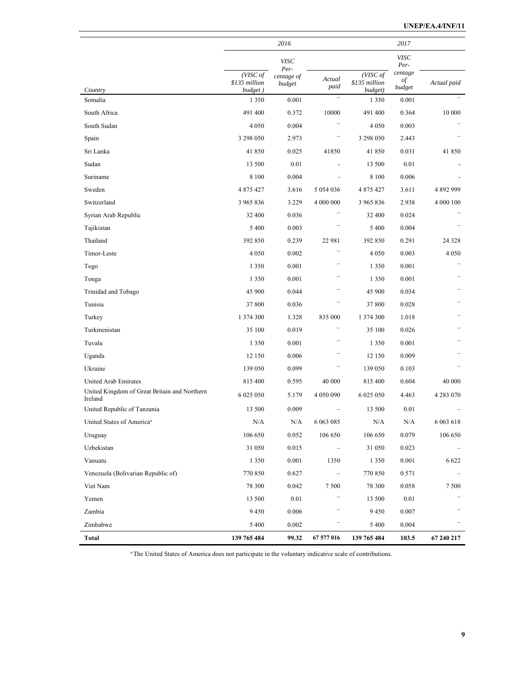|                                                         |                          | 2016               |                |                          | 2017            |             |
|---------------------------------------------------------|--------------------------|--------------------|----------------|--------------------------|-----------------|-------------|
|                                                         |                          | <b>VISC</b>        |                |                          | <b>VISC</b>     |             |
|                                                         | (VISC of                 | Per-<br>centage of |                | (VISC of                 | Per-<br>centage |             |
| Country                                                 | \$135 million<br>budget) | budget             | Actual<br>paid | \$135 million<br>budget) | of<br>budget    | Actual paid |
| Somalia                                                 | 1 3 5 0                  | 0.001              |                | 1 3 5 0                  | 0.001           |             |
| South Africa                                            | 491 400                  | 0.372              | 10000          | 491 400                  | 0.364           | 10 000      |
| South Sudan                                             | 4 0 5 0                  | 0.004              |                | 4 0 5 0                  | 0.003           |             |
| Spain                                                   | 3 298 050                | 2.973              |                | 3 298 050                | 2.443           |             |
| Sri Lanka                                               | 41 850                   | 0.025              | 41850          | 41850                    | 0.031           | 41 850      |
| Sudan                                                   | 13 500                   | 0.01               |                | 13 500                   | 0.01            |             |
| Suriname                                                | 8 1 0 0                  | 0.004              |                | 8 1 0 0                  | 0.006           |             |
| Sweden                                                  | 4 875 427                | 3.616              | 5 0 5 4 0 3 6  | 4 875 427                | 3.611           | 4 892 999   |
| Switzerland                                             | 3 965 836                | 3.229              | 4 000 000      | 3 965 836                | 2.938           | 4 000 100   |
| Syrian Arab Republic                                    | 32 400                   | 0.036              |                | 32 400                   | 0.024           |             |
| Tajikistan                                              | 5 4 0 0                  | 0.003              |                | 5 4 0 0                  | 0.004           |             |
| Thailand                                                | 392 850                  | 0.239              | 22 981         | 392 850                  | 0.291           | 24 3 28     |
| Timor-Leste                                             | 4 0 5 0                  | 0.002              |                | 4 0 5 0                  | 0.003           | 4 0 5 0     |
| Togo                                                    | 1 3 5 0                  | 0.001              |                | 1 3 5 0                  | 0.001           |             |
| Tonga                                                   | 1 3 5 0                  | 0.001              |                | 1 3 5 0                  | 0.001           |             |
| Trinidad and Tobago                                     | 45 900                   | 0.044              |                | 45 900                   | 0.034           |             |
| Tunisia                                                 | 37 800                   | 0.036              |                | 37 800                   | 0.028           |             |
| Turkey                                                  | 1 374 300                | 1.328              | 835 000        | 1 374 300                | 1.018           |             |
| Turkmenistan                                            | 35 100                   | 0.019              |                | 35 100                   | 0.026           |             |
| Tuvalu                                                  | 1 3 5 0                  | 0.001              |                | 1 3 5 0                  | 0.001           |             |
| Uganda                                                  | 12 150                   | 0.006              |                | 12 150                   | 0.009           |             |
| Ukraine                                                 | 139 050                  | 0.099              |                | 139 050                  | 0.103           |             |
| United Arab Emirates                                    | 815 400                  | 0.595              | 40 000         | 815 400                  | 0.604           | 40 000      |
| United Kingdom of Great Britain and Northern<br>Ireland | 6 0 25 0 50              | 5.179              | 4 050 090      | 6 0 25 0 50              | 4.463           | 4 283 070   |
| United Republic of Tanzania                             | 13 500                   | 0.009              |                | 13 500                   | 0.01            |             |
| United States of America <sup>a</sup>                   | N/A                      | N/A                | 6 0 63 0 85    | N/A                      | N/A             | 6 0 63 618  |
| Uruguay                                                 | 106 650                  | 0.052              | 106 650        | 106 650                  | 0.079           | 106 650     |
| Uzbekistan                                              | 31 050                   | 0.015              |                | 31 050                   | 0.023           |             |
| Vanuatu                                                 | 1 3 5 0                  | 0.001              | 1350           | 1 3 5 0                  | 0.001           | 6 6 22      |
| Venezuela (Bolivarian Republic of)                      | 770 850                  | 0.627              |                | 770 850                  | 0.571           |             |
| Viet Nam                                                | 78 300                   | 0.042              | 7500           | 78 300                   | 0.058           | 7 500       |
| Yemen                                                   | 13 500                   | 0.01               |                | 13 500                   | 0.01            |             |
| Zambia                                                  | 9 4 5 0                  | 0.006              |                | 9450                     | 0.007           |             |
| Zimbabwe                                                | 5 4 0 0                  | 0.002              |                | 5 4 0 0                  | 0.004           |             |
| <b>Total</b>                                            | 139 765 484              | 99.32              | 67 577 016     | 139 765 484              | 103.5           | 67 240 217  |

<sup>a</sup> The United States of America does not participate in the voluntary indicative scale of contributions.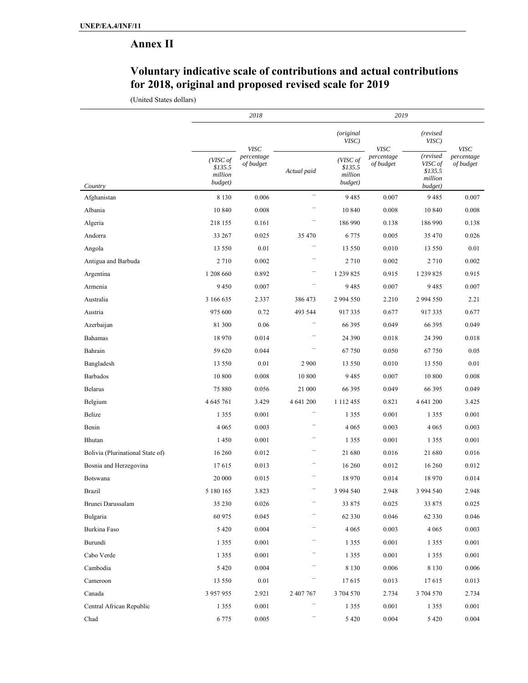# **Annex II**

## **Voluntary indicative scale of contributions and actual contributions for 2018, original and proposed revised scale for 2019**

(United States dollars)

|                                  |                                           | 2018                    |                          | 2019                                      |                         |                                                      |                         |
|----------------------------------|-------------------------------------------|-------------------------|--------------------------|-------------------------------------------|-------------------------|------------------------------------------------------|-------------------------|
|                                  |                                           | <b>VISC</b>             |                          | (original<br>VISC)                        | <b>VISC</b>             | (revised<br>VISC)                                    | <b>VISC</b>             |
| Country                          | (VISC of<br>\$135.5<br>million<br>budget) | percentage<br>of budget | Actual paid              | (VISC of<br>\$135.5<br>million<br>budget) | percentage<br>of budget | (revised<br>VISC of<br>\$135.5<br>million<br>budget) | percentage<br>of budget |
| Afghanistan                      | 8 1 3 0                                   | 0.006                   | $\overline{\phantom{0}}$ | 9485                                      | 0.007                   | 9485                                                 | 0.007                   |
| Albania                          | 10 840                                    | 0.008                   |                          | 10 840                                    | 0.008                   | 10 840                                               | 0.008                   |
| Algeria                          | 218 155                                   | 0.161                   |                          | 186 990                                   | 0.138                   | 186 990                                              | 0.138                   |
| Andorra                          | 33 267                                    | 0.025                   | 35 470                   | 6 7 7 5                                   | 0.005                   | 35 470                                               | 0.026                   |
| Angola                           | 13 550                                    | 0.01                    |                          | 13 550                                    | 0.010                   | 13 550                                               | 0.01                    |
| Antigua and Barbuda              | 2710                                      | 0.002                   |                          | 2 7 1 0                                   | 0.002                   | 2710                                                 | 0.002                   |
| Argentina                        | 1 208 660                                 | 0.892                   |                          | 1 239 825                                 | 0.915                   | 1 239 825                                            | 0.915                   |
| Armenia                          | 9450                                      | 0.007                   |                          | 9485                                      | 0.007                   | 9485                                                 | 0.007                   |
| Australia                        | 3 166 635                                 | 2.337                   | 386 473                  | 2 994 550                                 | 2.210                   | 2 9 9 4 5 5 0                                        | 2.21                    |
| Austria                          | 975 600                                   | 0.72                    | 493 544                  | 917335                                    | 0.677                   | 917335                                               | 0.677                   |
| Azerbaijan                       | 81 300                                    | 0.06                    |                          | 66 395                                    | 0.049                   | 66 395                                               | 0.049                   |
| Bahamas                          | 18 970                                    | 0.014                   |                          | 24 390                                    | 0.018                   | 24 3 9 0                                             | 0.018                   |
| Bahrain                          | 59 620                                    | 0.044                   |                          | 67 750                                    | 0.050                   | 67750                                                | 0.05                    |
| Bangladesh                       | 13 550                                    | 0.01                    | 2 9 0 0                  | 13 550                                    | 0.010                   | 13 550                                               | 0.01                    |
| Barbados                         | 10 800                                    | 0.008                   | 10 800                   | 9485                                      | 0.007                   | 10 800                                               | 0.008                   |
| <b>Belarus</b>                   | 75 880                                    | 0.056                   | 21 000                   | 66 395                                    | 0.049                   | 66 395                                               | 0.049                   |
| Belgium                          | 4 645 761                                 | 3.429                   | 4 641 200                | 1 1 1 2 4 5 5                             | 0.821                   | 4 641 200                                            | 3.425                   |
| Belize                           | 1 3 5 5                                   | 0.001                   |                          | 1 3 5 5                                   | 0.001                   | 1 3 5 5                                              | 0.001                   |
| Benin                            | 4 0 6 5                                   | 0.003                   |                          | 4 0 6 5                                   | 0.003                   | 4 0 6 5                                              | 0.003                   |
| Bhutan                           | 1450                                      | 0.001                   |                          | 1 3 5 5                                   | 0.001                   | 1 3 5 5                                              | 0.001                   |
| Bolivia (Plurinational State of) | 16 260                                    | 0.012                   |                          | 21 680                                    | 0.016                   | 21 680                                               | 0.016                   |
| Bosnia and Herzegovina           | 17615                                     | 0.013                   |                          | 16 260                                    | 0.012                   | 16 260                                               | 0.012                   |
| Botswana                         | 20 000                                    | 0.015                   |                          | 18 970                                    | 0.014                   | 18970                                                | 0.014                   |
| Brazil                           | 5 180 165                                 | 3.823                   |                          | 3 994 540                                 | 2.948                   | 3 994 540                                            | 2.948                   |
| Brunei Darussalam                | 35 230                                    | 0.026                   |                          | 33 875                                    | 0.025                   | 33 875                                               | 0.025                   |
| Bulgaria                         | 60 975                                    | 0.045                   |                          | 62 330                                    | 0.046                   | 62 3 3 0                                             | 0.046                   |
| Burkina Faso                     | 5 4 2 0                                   | 0.004                   |                          | 4 0 6 5                                   | 0.003                   | 4 0 6 5                                              | 0.003                   |
| Burundi                          | 1 3 5 5                                   | 0.001                   |                          | 1 3 5 5                                   | 0.001                   | 1 3 5 5                                              | 0.001                   |
| Cabo Verde                       | 1 3 5 5                                   | 0.001                   |                          | 1 3 5 5                                   | 0.001                   | 1 3 5 5                                              | 0.001                   |
| Cambodia                         | 5 4 2 0                                   | 0.004                   |                          | 8 1 3 0                                   | 0.006                   | 8 1 3 0                                              | 0.006                   |
| Cameroon                         | 13 550                                    | 0.01                    |                          | 17615                                     | 0.013                   | 17615                                                | 0.013                   |
| Canada                           | 3 957 955                                 | 2.921                   | 2 407 767                | 3 704 570                                 | 2.734                   | 3 704 570                                            | 2.734                   |
| Central African Republic         | 1 3 5 5                                   | $0.001\,$               |                          | 1 3 5 5                                   | $0.001\,$               | 1355                                                 | $0.001\,$               |
| Chad                             | 6775                                      | 0.005                   | $\qquad \qquad -$        | 5 4 2 0                                   | 0.004                   | 5 4 2 0                                              | 0.004                   |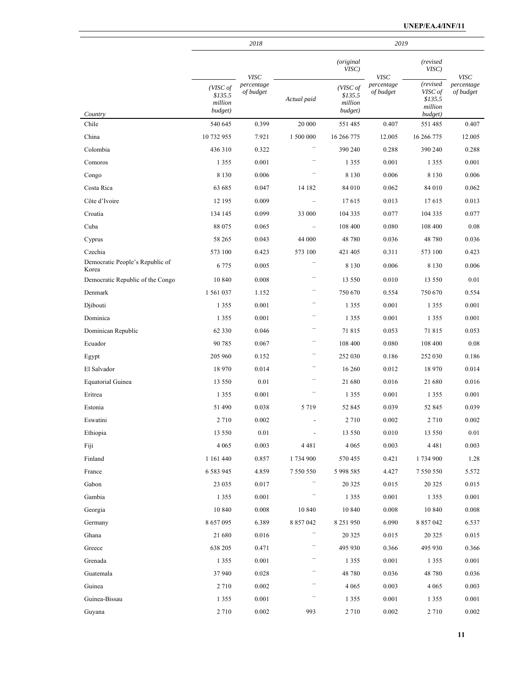|                                          |                                           | 2018                    |                          |                                           | 2019                    |                                                      |                         |
|------------------------------------------|-------------------------------------------|-------------------------|--------------------------|-------------------------------------------|-------------------------|------------------------------------------------------|-------------------------|
|                                          |                                           | <b>VISC</b>             |                          | (original<br>VISC)                        | <b>VISC</b>             | (revised<br>VISC)                                    | <b>VISC</b>             |
| Country                                  | (VISC of<br>\$135.5<br>million<br>budget) | percentage<br>of budget | Actual paid              | (VISC of<br>\$135.5<br>million<br>budget) | percentage<br>of budget | (revised<br>VISC of<br>\$135.5<br>million<br>budget) | percentage<br>of budget |
| Chile                                    | 540 645                                   | 0.399                   | 20 000                   | 551485                                    | 0.407                   | 551 485                                              | 0.407                   |
| China                                    | 10 732 955                                | 7.921                   | 1 500 000                | 16 266 775                                | 12.005                  | 16 266 775                                           | 12.005                  |
| Colombia                                 | 436 310                                   | 0.322                   |                          | 390 240                                   | 0.288                   | 390 240                                              | 0.288                   |
| Comoros                                  | 1 3 5 5                                   | 0.001                   |                          | 1 3 5 5                                   | 0.001                   | 1 3 5 5                                              | 0.001                   |
| Congo                                    | 8 1 3 0                                   | 0.006                   |                          | 8 1 3 0                                   | 0.006                   | 8 1 3 0                                              | 0.006                   |
| Costa Rica                               | 63 685                                    | 0.047                   | 14 182                   | 84 010                                    | 0.062                   | 84 010                                               | 0.062                   |
| Côte d'Ivoire                            | 12 195                                    | 0.009                   | $\overline{\phantom{0}}$ | 17615                                     | 0.013                   | 17615                                                | 0.013                   |
| Croatia                                  | 134 145                                   | 0.099                   | 33 000                   | 104 335                                   | 0.077                   | 104 335                                              | 0.077                   |
| Cuba                                     | 88 075                                    | 0.065                   |                          | 108 400                                   | 0.080                   | 108 400                                              | 0.08                    |
| Cyprus                                   | 58 265                                    | 0.043                   | 44 000                   | 48 780                                    | 0.036                   | 48780                                                | 0.036                   |
| Czechia                                  | 573 100                                   | 0.423                   | 573 100                  | 421 405                                   | 0.311                   | 573 100                                              | 0.423                   |
| Democratic People's Republic of<br>Korea | 6775                                      | 0.005                   |                          | 8 1 3 0                                   | 0.006                   | 8 1 3 0                                              | 0.006                   |
| Democratic Republic of the Congo         | 10 840                                    | 0.008                   |                          | 13 550                                    | 0.010                   | 13 550                                               | 0.01                    |
| Denmark                                  | 1 561 037                                 | 1.152                   | -                        | 750 670                                   | 0.554                   | 750 670                                              | 0.554                   |
| Djibouti                                 | 1 3 5 5                                   | 0.001                   |                          | 1 3 5 5                                   | 0.001                   | 1 3 5 5                                              | 0.001                   |
| Dominica                                 | 1 3 5 5                                   | 0.001                   |                          | 1 3 5 5                                   | 0.001                   | 1 3 5 5                                              | 0.001                   |
| Dominican Republic                       | 62 3 3 0                                  | 0.046                   |                          | 71815                                     | 0.053                   | 71815                                                | 0.053                   |
| Ecuador                                  | 90 785                                    | 0.067                   |                          | 108 400                                   | 0.080                   | 108 400                                              | 0.08                    |
| Egypt                                    | 205 960                                   | 0.152                   |                          | 252 030                                   | 0.186                   | 252 030                                              | 0.186                   |
| El Salvador                              | 18 970                                    | 0.014                   |                          | 16 260                                    | 0.012                   | 18970                                                | 0.014                   |
| Equatorial Guinea                        | 13 550                                    | 0.01                    |                          | 21 680                                    | 0.016                   | 21 680                                               | 0.016                   |
| Eritrea                                  | 1 3 5 5                                   | 0.001                   |                          | 1 3 5 5                                   | 0.001                   | 1 3 5 5                                              | 0.001                   |
| Estonia                                  | 51 490                                    | 0.038                   | 5719                     | 52 845                                    | 0.039                   | 52 845                                               | 0.039                   |
| Eswatini                                 | 2 7 1 0                                   | 0.002                   | $\overline{\phantom{a}}$ | 2 7 1 0                                   | 0.002                   | 2710                                                 | 0.002                   |
| Ethiopia                                 | 13 550                                    | $0.01\,$                | $\overline{\phantom{a}}$ | 13 550                                    | 0.010                   | 13 550                                               | 0.01                    |
| Fiji                                     | 4 0 6 5                                   | 0.003                   | 4481                     | 4 0 6 5                                   | 0.003                   | 4 4 8 1                                              | 0.003                   |
| Finland                                  | 1 161 440                                 | 0.857                   | 1 734 900                | 570 455                                   | 0.421                   | 1734 900                                             | 1.28                    |
| France                                   | 6 5 8 3 9 4 5                             | 4.859                   | 7 550 550                | 5 9 9 5 5 8 5                             | 4.427                   | 7 550 550                                            | 5.572                   |
| Gabon                                    | 23 035                                    | 0.017                   |                          | 20 3 25                                   | 0.015                   | 20 3 25                                              | 0.015                   |
| Gambia                                   | 1 3 5 5                                   | 0.001                   |                          | 1 3 5 5                                   | 0.001                   | 1 3 5 5                                              | 0.001                   |
| Georgia                                  | 10 840                                    | 0.008                   | 10 840                   | 10 840                                    | 0.008                   | 10 840                                               | 0.008                   |
| Germany                                  | 8 657 095                                 | 6.389                   | 8 8 5 7 0 4 2            | 8 2 5 1 9 5 0                             | 6.090                   | 8 857 042                                            | 6.537                   |
| Ghana                                    | 21 680                                    | 0.016                   |                          | 20 3 25                                   | 0.015                   | 20 3 25                                              | 0.015                   |
| Greece                                   | 638 205                                   | 0.471                   |                          | 495 930                                   | 0.366                   | 495 930                                              | 0.366                   |
| Grenada                                  | 1 3 5 5                                   | 0.001                   | -                        | 1 3 5 5                                   | 0.001                   | 1 3 5 5                                              | 0.001                   |
| Guatemala                                | 37 940                                    | 0.028                   |                          | 48 780                                    | 0.036                   | 48780                                                | 0.036                   |
| Guinea                                   | 2710                                      | 0.002                   |                          | 4 0 6 5                                   | 0.003                   | 4 0 6 5                                              | 0.003                   |
| Guinea-Bissau                            | 1355                                      | 0.001                   |                          | 1 3 5 5                                   | 0.001                   | 1355                                                 | 0.001                   |
| Guyana                                   | 2710                                      | 0.002                   | 993                      | 2 7 1 0                                   | 0.002                   | 2710                                                 | 0.002                   |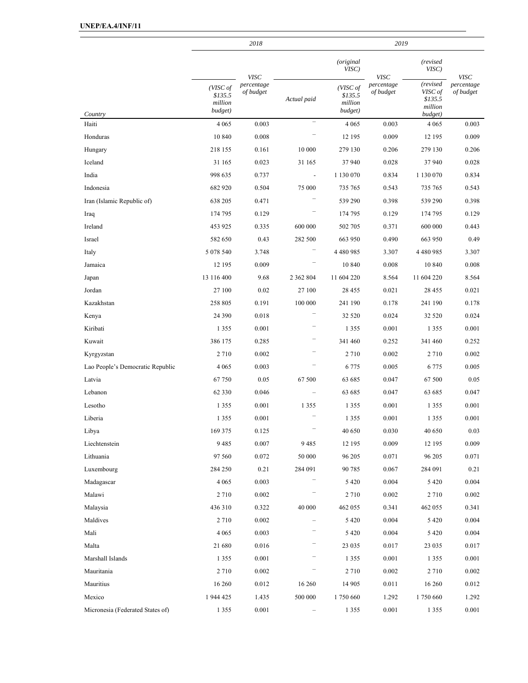|                                  |                                           | 2018                    |                   |                                           | 2019                    |                                                      |                         |
|----------------------------------|-------------------------------------------|-------------------------|-------------------|-------------------------------------------|-------------------------|------------------------------------------------------|-------------------------|
|                                  |                                           | <b>VISC</b>             |                   | <i>(original</i><br>VISC)                 | <b>VISC</b>             | (revised<br>VISC)                                    | <b>VISC</b>             |
| Country                          | (VISC of<br>\$135.5<br>million<br>budget) | percentage<br>of budget | Actual paid       | (VISC of<br>\$135.5<br>million<br>budget) | percentage<br>of budget | (revised<br>VISC of<br>\$135.5<br>million<br>budget) | percentage<br>of budget |
| Haiti                            | 4 0 6 5                                   | 0.003                   |                   | 4 0 6 5                                   | 0.003                   | 4 0 6 5                                              | 0.003                   |
| Honduras                         | 10 840                                    | 0.008                   |                   | 12 195                                    | 0.009                   | 12 195                                               | 0.009                   |
| Hungary                          | 218 155                                   | 0.161                   | 10 000            | 279 130                                   | 0.206                   | 279 130                                              | 0.206                   |
| Iceland                          | 31 165                                    | 0.023                   | 31 165            | 37 940                                    | 0.028                   | 37940                                                | 0.028                   |
| India                            | 998 635                                   | 0.737                   | $\overline{a}$    | 1 130 070                                 | 0.834                   | 1 130 070                                            | 0.834                   |
| Indonesia                        | 682 920                                   | 0.504                   | 75 000            | 735 765                                   | 0.543                   | 735 765                                              | 0.543                   |
| Iran (Islamic Republic of)       | 638 205                                   | 0.471                   |                   | 539 290                                   | 0.398                   | 539 290                                              | 0.398                   |
| Iraq                             | 174 795                                   | 0.129                   |                   | 174 795                                   | 0.129                   | 174 795                                              | 0.129                   |
| Ireland                          | 453 925                                   | 0.335                   | 600 000           | 502 705                                   | 0.371                   | 600 000                                              | 0.443                   |
| Israel                           | 582 650                                   | 0.43                    | 282 500           | 663 950                                   | 0.490                   | 663 950                                              | 0.49                    |
| Italy                            | 5 078 540                                 | 3.748                   |                   | 4 4 8 0 9 8 5                             | 3.307                   | 4 4 8 0 9 8 5                                        | 3.307                   |
| Jamaica                          | 12 195                                    | 0.009                   |                   | 10 840                                    | 0.008                   | 10 840                                               | 0.008                   |
| Japan                            | 13 116 400                                | 9.68                    | 2 3 6 2 8 0 4     | 11 604 220                                | 8.564                   | 11 604 220                                           | 8.564                   |
| Jordan                           | 27 100                                    | 0.02                    | 27 100            | 28 4 55                                   | 0.021                   | 28 4 55                                              | 0.021                   |
| Kazakhstan                       | 258 805                                   | 0.191                   | 100 000           | 241 190                                   | 0.178                   | 241 190                                              | 0.178                   |
| Kenya                            | 24 3 9 0                                  | 0.018                   |                   | 32 5 20                                   | 0.024                   | 32 5 20                                              | 0.024                   |
| Kiribati                         | 1 3 5 5                                   | 0.001                   |                   | 1 3 5 5                                   | 0.001                   | 1 3 5 5                                              | 0.001                   |
| Kuwait                           | 386 175                                   | 0.285                   |                   | 341 460                                   | 0.252                   | 341 460                                              | 0.252                   |
| Kyrgyzstan                       | 2 7 1 0                                   | 0.002                   |                   | 2 7 1 0                                   | 0.002                   | 2710                                                 | 0.002                   |
| Lao People's Democratic Republic | 4 0 6 5                                   | 0.003                   |                   | 6 7 7 5                                   | 0.005                   | 6 7 7 5                                              | 0.005                   |
| Latvia                           | 67750                                     | 0.05                    | 67 500            | 63 685                                    | 0.047                   | 67 500                                               | 0.05                    |
| Lebanon                          | 62 3 3 0                                  | 0.046                   |                   | 63 685                                    | 0.047                   | 63 685                                               | 0.047                   |
| Lesotho                          | 1 3 5 5                                   | 0.001                   | 1 3 5 5           | 1 3 5 5                                   | 0.001                   | 1 3 5 5                                              | 0.001                   |
| Liberia                          | 1 3 5 5                                   | 0.001                   |                   | 1 3 5 5                                   | 0.001                   | 1 3 5 5                                              | 0.001                   |
| Libya                            | 169 375                                   | 0.125                   | $\qquad \qquad -$ | 40 650                                    | 0.030                   | 40 650                                               | 0.03                    |
| Liechtenstein                    | 9485                                      | 0.007                   | 9485              | 12 195                                    | 0.009                   | 12 195                                               | 0.009                   |
| Lithuania                        | 97 560                                    | 0.072                   | 50 000            | 96 205                                    | 0.071                   | 96 205                                               | 0.071                   |
| Luxembourg                       | 284 250                                   | 0.21                    | 284 091           | 90 785                                    | 0.067                   | 284 091                                              | 0.21                    |
| Madagascar                       | 4 0 6 5                                   | 0.003                   |                   | 5 4 2 0                                   | 0.004                   | 5 4 2 0                                              | 0.004                   |
| Malawi                           | 2710                                      | 0.002                   |                   | 2 7 1 0                                   | 0.002                   | 2710                                                 | 0.002                   |
| Malaysia                         | 436 310                                   | 0.322                   | 40 000            | 462 055                                   | 0.341                   | 462 055                                              | 0.341                   |
| Maldives                         | 2710                                      | 0.002                   | ÷                 | 5 4 2 0                                   | 0.004                   | 5 4 2 0                                              | 0.004                   |
| Mali                             | 4 0 6 5                                   | 0.003                   |                   | 5 4 2 0                                   | 0.004                   | 5 4 2 0                                              | 0.004                   |
| Malta                            | 21 680                                    | 0.016                   |                   | 23 035                                    | 0.017                   | 23 035                                               | 0.017                   |
| Marshall Islands                 | 1 3 5 5                                   | 0.001                   |                   | 1 3 5 5                                   | 0.001                   | 1 3 5 5                                              | 0.001                   |
| Mauritania                       | 2710                                      | 0.002                   |                   | 2 7 1 0                                   | 0.002                   | 2710                                                 | 0.002                   |
| Mauritius                        | 16 260                                    | 0.012                   | 16 260            | 14 905                                    | 0.011                   | 16 260                                               | 0.012                   |
| Mexico                           | 1 944 425                                 | 1.435                   | $500\ 000$        | 1750 660                                  | 1.292                   | 1750 660                                             | 1.292                   |
| Micronesia (Federated States of) | 1 3 5 5                                   | $0.001\,$               |                   | 1 3 5 5                                   | $0.001\,$               | 1 3 5 5                                              | 0.001                   |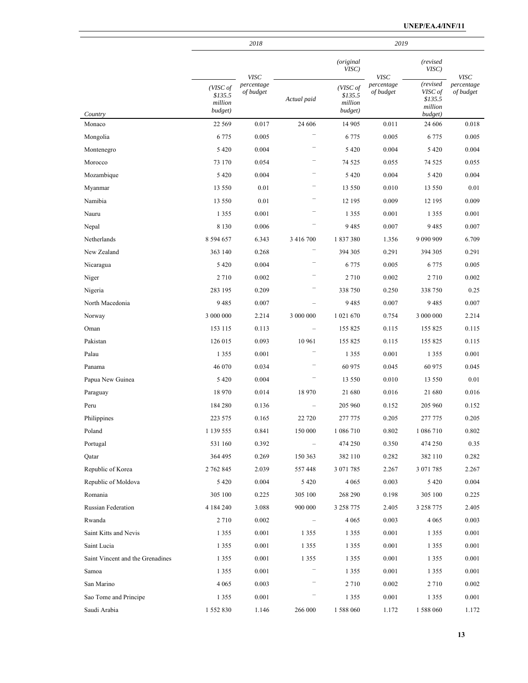|                                  |                                           | 2018                                   |                          | 2019                                      |                                        |                                                      |                                        |
|----------------------------------|-------------------------------------------|----------------------------------------|--------------------------|-------------------------------------------|----------------------------------------|------------------------------------------------------|----------------------------------------|
|                                  |                                           |                                        |                          | <i>(original</i><br>VISC)                 |                                        | (revised<br>VISC)                                    |                                        |
| Country                          | (VISC of<br>\$135.5<br>million<br>budget) | <b>VISC</b><br>percentage<br>of budget | Actual paid              | (VISC of<br>\$135.5<br>million<br>budget) | <b>VISC</b><br>percentage<br>of budget | (revised<br>VISC of<br>\$135.5<br>million<br>budget) | <b>VISC</b><br>percentage<br>of budget |
| Monaco                           | 22 5 6 9                                  | 0.017                                  | 24 60 6                  | 14 905                                    | 0.011                                  | 24 60 6                                              | 0.018                                  |
| Mongolia                         | 6 7 7 5                                   | 0.005                                  |                          | 6 7 7 5                                   | 0.005                                  | 6775                                                 | 0.005                                  |
| Montenegro                       | 5 4 2 0                                   | 0.004                                  |                          | 5 4 2 0                                   | 0.004                                  | 5 4 2 0                                              | 0.004                                  |
| Morocco                          | 73 170                                    | 0.054                                  |                          | 74 525                                    | 0.055                                  | 74 5 25                                              | 0.055                                  |
| Mozambique                       | 5 4 2 0                                   | 0.004                                  |                          | 5 4 2 0                                   | 0.004                                  | 5 4 2 0                                              | 0.004                                  |
| Myanmar                          | 13 550                                    | 0.01                                   |                          | 13 550                                    | 0.010                                  | 13 5 5 0                                             | 0.01                                   |
| Namibia                          | 13 550                                    | 0.01                                   |                          | 12 195                                    | 0.009                                  | 12 195                                               | 0.009                                  |
| Nauru                            | 1 3 5 5                                   | 0.001                                  |                          | 1 3 5 5                                   | 0.001                                  | 1 3 5 5                                              | 0.001                                  |
| Nepal                            | 8 1 3 0                                   | 0.006                                  |                          | 9485                                      | 0.007                                  | 9485                                                 | 0.007                                  |
| Netherlands                      | 8 594 657                                 | 6.343                                  | 3 416 700                | 1837380                                   | 1.356                                  |                                                      | 6.709                                  |
| New Zealand                      | 363 140                                   | 0.268                                  |                          | 394 305                                   | 0.291                                  | 394 305                                              | 0.291                                  |
| Nicaragua                        | 5 4 2 0                                   | 0.004                                  |                          | 6 7 7 5                                   | 0.005                                  | 6775                                                 | 0.005                                  |
| Niger                            | 2 7 1 0                                   | 0.002                                  |                          | 2 7 1 0                                   | 0.002                                  | 2710                                                 | 0.002                                  |
| Nigeria                          | 283 195                                   | 0.209                                  |                          | 338 750                                   | 0.250                                  | 338 750                                              | 0.25                                   |
| North Macedonia                  | 9485                                      | 0.007                                  |                          | 9485                                      | 0.007                                  | 9485                                                 | 0.007                                  |
| Norway                           | 3 000 000                                 | 2.214                                  | 3 000 000                | 1 021 670                                 | 0.754                                  | 3 000 000                                            | 2.214                                  |
| Oman                             | 153 115                                   | 0.113                                  |                          | 155 825                                   | 0.115                                  | 155 825                                              | 0.115                                  |
| Pakistan                         | 126 015                                   | 0.093                                  | 10 961                   | 155 825                                   | 0.115                                  | 155 825                                              | 0.115                                  |
| Palau                            | 1 3 5 5                                   | 0.001                                  |                          | 1 3 5 5                                   | 0.001                                  | 1 3 5 5                                              | 0.001                                  |
| Panama                           | 46 070                                    | 0.034                                  |                          | 60 975                                    | 0.045                                  | 60 975                                               | 0.045                                  |
| Papua New Guinea                 | 5 4 2 0                                   | 0.004                                  |                          | 13 550                                    | 0.010                                  | 13 550                                               | 0.01                                   |
| Paraguay                         | 18 970                                    | 0.014                                  | 18 970                   | 21 680                                    | 0.016                                  | 21 680                                               | 0.016                                  |
| Peru                             | 184 280                                   | 0.136                                  |                          | 205 960                                   | 0.152                                  | 205 960                                              | 0.152                                  |
| Philippines                      | 223 575                                   | 0.165                                  | 22 7 20                  | 277 775                                   | 0.205                                  | 277 775                                              | 0.205                                  |
| Poland                           | 1 139 555                                 | 0.841                                  | 150 000                  | 1 086 710                                 | 0.802                                  | 1 086 710                                            | 0.802                                  |
| Portugal                         | 531 160                                   | 0.392                                  | $\overline{\phantom{0}}$ | 474 250                                   | 0.350                                  | 474 250                                              | 0.35                                   |
| Qatar                            | 364 495                                   | 0.269                                  | 150 363                  | 382 110                                   | 0.282                                  | 382 110                                              | 0.282                                  |
| Republic of Korea                | 2 762 845                                 | 2.039                                  | 557448                   | 3 071 785                                 | 2.267                                  | 3 071 785                                            | 2.267                                  |
| Republic of Moldova              | 5 4 2 0                                   | 0.004                                  | 5 4 2 0                  | 4 0 6 5                                   | 0.003                                  | 5 4 2 0                                              | 0.004                                  |
| Romania                          | 305 100                                   | 0.225                                  | 305 100                  | 268 290                                   | 0.198                                  | 305 100                                              | 0.225                                  |
| Russian Federation               | 4 184 240                                 | 3.088                                  | 900 000                  | 3 258 775                                 | 2.405                                  | 3 258 775                                            | 2.405                                  |
| Rwanda                           | 2 7 1 0                                   | 0.002                                  | $\overline{\phantom{a}}$ | 4 0 6 5                                   | 0.003                                  | 4 0 6 5                                              | 0.003                                  |
| Saint Kitts and Nevis            | 1 3 5 5                                   | 0.001                                  | 1 3 5 5                  | 1 3 5 5                                   | 0.001                                  | 1355                                                 | 0.001                                  |
| Saint Lucia                      | 1 3 5 5                                   | 0.001                                  | 1 3 5 5                  | 1 3 5 5                                   | 0.001                                  | 1 3 5 5                                              | 0.001                                  |
| Saint Vincent and the Grenadines | 1 3 5 5                                   | 0.001                                  | 1 3 5 5                  | 1 3 5 5                                   | 0.001                                  | 1 3 5 5                                              | 0.001                                  |
| Samoa                            | 1 3 5 5                                   | 0.001                                  |                          | 1 3 5 5                                   | 0.001                                  | 1 3 5 5                                              | 0.001                                  |
| San Marino                       | 4 0 6 5                                   | 0.003                                  |                          | 2 7 1 0                                   | 0.002                                  | 2710                                                 | 0.002                                  |
| Sao Tome and Principe            | 1 3 5 5                                   | 0.001                                  |                          | 1 3 5 5                                   | 0.001                                  | 1 3 5 5                                              | 0.001                                  |
| Saudi Arabia                     | 1 552 830                                 | 1.146                                  | 266 000                  | 1588060                                   | 1.172                                  | 1 588 060                                            | 1.172                                  |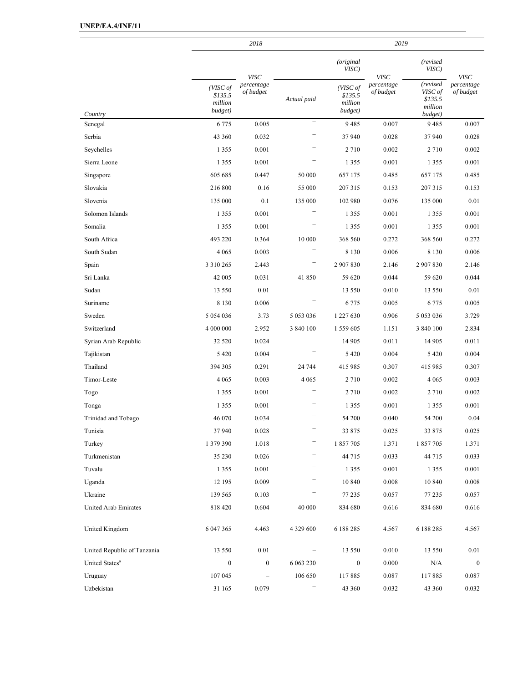|                             |                                           | 2018                    |                   | 2019                                      |                                        |                                                      |                         |
|-----------------------------|-------------------------------------------|-------------------------|-------------------|-------------------------------------------|----------------------------------------|------------------------------------------------------|-------------------------|
|                             |                                           | <b>VISC</b>             |                   | <i>(original</i><br>VISC)                 |                                        | (revised<br>VISC)                                    | <b>VISC</b>             |
| Country                     | (VISC of<br>\$135.5<br>million<br>budget) | percentage<br>of budget | Actual paid       | (VISC of<br>\$135.5<br>million<br>budget) | <b>VISC</b><br>percentage<br>of budget | (revised<br>VISC of<br>\$135.5<br>million<br>budget) | percentage<br>of budget |
| Senegal                     | 6 7 7 5                                   | 0.005                   |                   | 9485                                      | 0.007                                  | 9485                                                 | 0.007                   |
| Serbia                      | 43 360                                    | 0.032                   |                   | 37 940                                    | 0.028                                  | 37940                                                | 0.028                   |
| Seychelles                  | 1 3 5 5                                   | 0.001                   |                   | 2 7 1 0                                   | 0.002                                  | 2710                                                 | 0.002                   |
| Sierra Leone                | 1 3 5 5                                   | 0.001                   |                   | 1 3 5 5                                   | 0.001                                  | 1 3 5 5                                              | 0.001                   |
| Singapore                   | 605 685                                   | 0.447                   | 50 000            | 657 175                                   | 0.485                                  | 657 175                                              | 0.485                   |
| Slovakia                    | 216 800                                   | 0.16                    | 55 000            | 207 315                                   | 0.153                                  | 207 315                                              | 0.153                   |
| Slovenia                    | 135 000                                   | 0.1                     | 135 000           | 102 980                                   | 0.076                                  | 135 000                                              | 0.01                    |
| Solomon Islands             | 1 3 5 5                                   | 0.001                   |                   | 1 3 5 5                                   | 0.001                                  | 1 3 5 5                                              | 0.001                   |
| Somalia                     | 1 3 5 5                                   | 0.001                   |                   | 1 3 5 5                                   | 0.001                                  | 1 3 5 5                                              | 0.001                   |
| South Africa                | 493 220                                   | 0.364                   | 10 000            | 368 560                                   | 0.272                                  | 368 560                                              | 0.272                   |
| South Sudan                 | 4 0 6 5                                   | 0.003                   |                   | 8 1 3 0                                   | 0.006                                  | 8 1 3 0                                              | 0.006                   |
| Spain                       | 3 3 10 2 65                               | 2.443                   |                   | 2 907 830                                 | 2.146                                  | 2 907 830                                            | 2.146                   |
| Sri Lanka                   | 42 005                                    | 0.031                   | 41850             | 59 620                                    | 0.044                                  | 59 620                                               | 0.044                   |
| Sudan                       | 13 550                                    | 0.01                    |                   | 13 550                                    | 0.010                                  | 13 550                                               | 0.01                    |
| Suriname                    | 8 1 3 0                                   | 0.006                   |                   | 6 7 7 5                                   | 0.005                                  | 6775                                                 | 0.005                   |
| Sweden                      | 5 0 5 4 0 3 6                             | 3.73                    | 5 053 036         | 1 227 630                                 | 0.906                                  | 5 0 5 3 0 3 6                                        | 3.729                   |
| Switzerland                 | 4 000 000                                 | 2.952                   | 3 840 100         | 1 559 605                                 | 1.151                                  | 3 840 100                                            | 2.834                   |
| Syrian Arab Republic        | 32 5 20                                   | 0.024                   |                   | 14 905                                    | 0.011                                  | 14 905                                               | 0.011                   |
| Tajikistan                  | 5 4 2 0                                   | 0.004                   |                   | 5 4 2 0                                   | 0.004                                  | 5 4 2 0                                              | 0.004                   |
| Thailand                    | 394 305                                   | 0.291                   | 24 744            | 415 985                                   | 0.307                                  | 415 985                                              | 0.307                   |
| Timor-Leste                 | 4 0 6 5                                   | 0.003                   | 4 0 6 5           | 2710                                      | 0.002                                  | 4 0 6 5                                              | 0.003                   |
| Togo                        | 1 3 5 5                                   | 0.001                   |                   | 2 7 1 0                                   | 0.002                                  | 2710                                                 | 0.002                   |
| Tonga                       | 1 3 5 5                                   | 0.001                   |                   | 1 3 5 5                                   | 0.001                                  | 1 3 5 5                                              | 0.001                   |
| Trinidad and Tobago         | 46 070                                    | 0.034                   |                   | 54 200                                    | 0.040                                  | 54 200                                               | 0.04                    |
| Tunisia                     | 37 940                                    | 0.028                   |                   | 33 875                                    | 0.025                                  | 33 875                                               | 0.025                   |
| Turkey                      | 1 379 390                                 | 1.018                   |                   | 1857705                                   | 1.371                                  | 1 857 705                                            | 1.371                   |
| Turkmenistan                | 35 230                                    | 0.026                   |                   | 44 715                                    | 0.033                                  | 44 715                                               | 0.033                   |
| Tuvalu                      | 1 3 5 5                                   | 0.001                   |                   | 1 3 5 5                                   | 0.001                                  | 1 3 5 5                                              | 0.001                   |
| Uganda                      | 12 195                                    | 0.009                   |                   | 10 840                                    | 0.008                                  | 10 840                                               | 0.008                   |
| Ukraine                     | 139 565                                   | 0.103                   | -                 | 77 235                                    | 0.057                                  | 77 235                                               | 0.057                   |
| United Arab Emirates        | 818 420                                   | 0.604                   | 40 000            | 834 680                                   | 0.616                                  | 834 680                                              | 0.616                   |
| United Kingdom              | 6 047 365                                 | 4.463                   | 4 3 2 9 6 0 0     | 6 188 285                                 | 4.567                                  | 6 188 285                                            | 4.567                   |
| United Republic of Tanzania | 13 550                                    | $0.01\,$                | $\qquad \qquad -$ | 13 550                                    | 0.010                                  | 13 550                                               | $0.01\,$                |
| United States <sup>a</sup>  | $\boldsymbol{0}$                          | $\boldsymbol{0}$        | 6 063 230         | $\boldsymbol{0}$                          | 0.000                                  | N/A                                                  | $\boldsymbol{0}$        |
| Uruguay                     | 107 045                                   |                         | 106 650           | 117885                                    | 0.087                                  | 117885                                               | 0.087                   |
| Uzbekistan                  | 31 165                                    | 0.079                   |                   | 43 360                                    | 0.032                                  | 43 360                                               | 0.032                   |